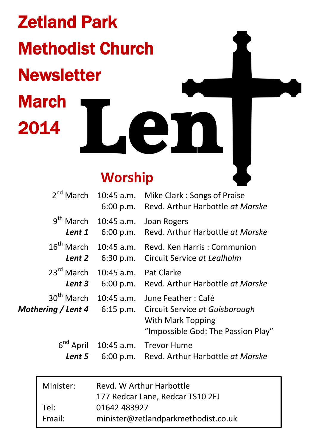Zetland Park Methodist Church **Newsletter** March 2014 **Len**

# **Worship**

| $2nd$ March                      | $10:45$ a.m.                 | Mike Clark: Songs of Praise<br>6:00 p.m. Revd. Arthur Harbottle at Marske                                                                                   |
|----------------------------------|------------------------------|-------------------------------------------------------------------------------------------------------------------------------------------------------------|
| $9th$ March<br>Lent 1            | 10:45 a.m.<br>6:00 p.m.      | Joan Rogers<br>Revd. Arthur Harbottle at Marske                                                                                                             |
| $16^{\text{th}}$ March<br>Lent 2 | 10:45 a.m.<br>6:30 p.m.      | Revd. Ken Harris: Communion<br>Circuit Service at Lealholm                                                                                                  |
| $23^{\text{rd}}$ March<br>Lent 3 | $10:45$ a.m.                 | Pat Clarke<br>6:00 p.m. Revd. Arthur Harbottle at Marske                                                                                                    |
|                                  | $30^{th}$ March $10:45$ a.m. | June Feather : Café<br><b>Mothering / Lent 4</b> 6:15 p.m. Circuit Service at Guisborough<br><b>With Mark Topping</b><br>"Impossible God: The Passion Play" |
| $6^{nd}$ April<br>Lent 5         | 10:45 a.m.                   | Trevor Hume<br>6:00 p.m. Revd. Arthur Harbottle at Marske                                                                                                   |
|                                  |                              |                                                                                                                                                             |

I

| Minister: | Revd. W Arthur Harbottle            |  |
|-----------|-------------------------------------|--|
|           | 177 Redcar Lane, Redcar TS10 2EJ    |  |
| Tel:      | 01642 483927                        |  |
| Email:    | minister@zetlandparkmethodist.co.uk |  |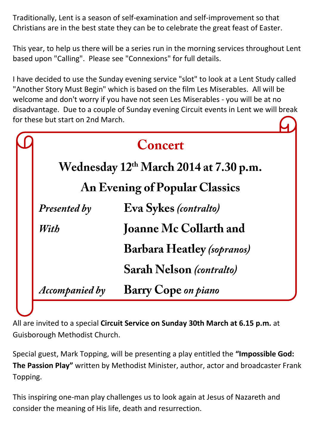Traditionally, Lent is a season of self-examination and self-improvement so that Christians are in the best state they can be to celebrate the great feast of Easter.

This year, to help us there will be a series run in the morning services throughout Lent based upon "Calling". Please see "Connexions" for full details.

I have decided to use the Sunday evening service "slot" to look at a Lent Study called "Another Story Must Begin" which is based on the film Les Miserables. All will be welcome and don't worry if you have not seen Les Miserables - you will be at no disadvantage. Due to a couple of Sunday evening Circuit events in Lent we will break for these but start on 2nd March.

|                                       | Concert                                            |  |  |
|---------------------------------------|----------------------------------------------------|--|--|
|                                       | Wednesday 12 <sup>th</sup> March 2014 at 7.30 p.m. |  |  |
| <b>An Evening of Popular Classics</b> |                                                    |  |  |
| Presented by                          | Eva Sykes (contralto)                              |  |  |
| With                                  | <b>Joanne Mc Collarth and</b>                      |  |  |
|                                       | <b>Barbara Heatley (sopranos)</b>                  |  |  |
|                                       | Sarah Nelson (contralto)                           |  |  |
| <b>Accompanied by</b>                 | <b>Barry Cope on piano</b>                         |  |  |

All are invited to a special **Circuit Service on Sunday 30th March at 6.15 p.m.** at Guisborough Methodist Church.

Special guest, Mark Topping, will be presenting a play entitled the **"Impossible God: The Passion Play"** written by Methodist Minister, author, actor and broadcaster Frank Topping.

This inspiring one-man play challenges us to look again at Jesus of Nazareth and consider the meaning of His life, death and resurrection.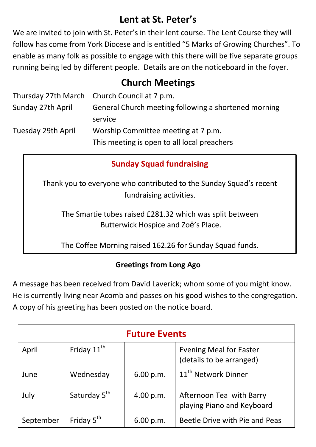# **Lent at St. Peter's**

We are invited to join with St. Peter's in their lent course. The Lent Course they will follow has come from York Diocese and is entitled "5 Marks of Growing Churches". To enable as many folk as possible to engage with this there will be five separate groups running being led by different people. Details are on the noticeboard in the foyer.

## **Church Meetings**

|                    | Thursday 27th March Church Council at 7 p.m.         |  |
|--------------------|------------------------------------------------------|--|
| Sunday 27th April  | General Church meeting following a shortened morning |  |
|                    | service                                              |  |
| Tuesday 29th April | Worship Committee meeting at 7 p.m.                  |  |
|                    | This meeting is open to all local preachers          |  |

## **Sunday Squad fundraising**

Thank you to everyone who contributed to the Sunday Squad's recent fundraising activities.

The Smartie tubes raised £281.32 which was split between Butterwick Hospice and Zoë's Place.

The Coffee Morning raised 162.26 for Sunday Squad funds.

#### **Greetings from Long Ago**

A message has been received from David Laverick; whom some of you might know. He is currently living near Acomb and passes on his good wishes to the congregation. A copy of his greeting has been posted on the notice board.

| <b>Future Events</b> |                          |           |                                                            |  |  |
|----------------------|--------------------------|-----------|------------------------------------------------------------|--|--|
| April                | Friday 11 <sup>th</sup>  |           | <b>Evening Meal for Easter</b><br>(details to be arranged) |  |  |
| June                 | Wednesday                | 6.00 p.m. | 11 <sup>th</sup> Network Dinner                            |  |  |
| July                 | Saturday 5 <sup>th</sup> | 4.00 p.m. | Afternoon Tea with Barry<br>playing Piano and Keyboard     |  |  |
| September            | Friday 5 <sup>th</sup>   | 6.00 p.m. | Beetle Drive with Pie and Peas                             |  |  |